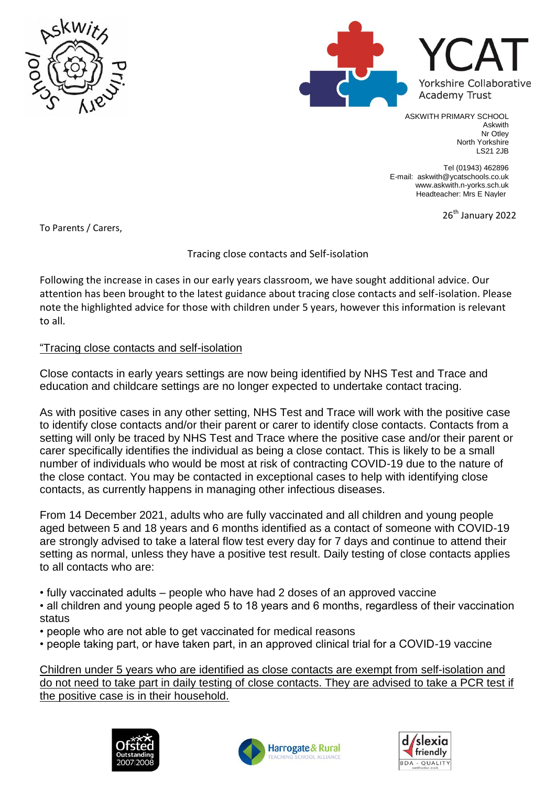



ASKWITH PRIMARY SCHOOL Askwith Nr Otley North Yorkshire LS21 2JB

Tel (01943) 462896 E-mail: askwith@ycatschools.co.uk www.askwith.n-yorks.sch.uk Headteacher: Mrs E Nayler

26<sup>th</sup> January 2022

To Parents / Carers,

## Tracing close contacts and Self-isolation

Following the increase in cases in our early years classroom, we have sought additional advice. Our attention has been brought to the latest guidance about tracing close contacts and self-isolation. Please note the highlighted advice for those with children under 5 years, however this information is relevant to all.

## "Tracing close contacts and self-isolation

Close contacts in early years settings are now being identified by NHS Test and Trace and education and childcare settings are no longer expected to undertake contact tracing.

As with positive cases in any other setting, NHS Test and Trace will work with the positive case to identify close contacts and/or their parent or carer to identify close contacts. Contacts from a setting will only be traced by NHS Test and Trace where the positive case and/or their parent or carer specifically identifies the individual as being a close contact. This is likely to be a small number of individuals who would be most at risk of contracting COVID-19 due to the nature of the close contact. You may be contacted in exceptional cases to help with identifying close contacts, as currently happens in managing other infectious diseases.

From 14 December 2021, adults who are fully vaccinated and all children and young people aged between 5 and 18 years and 6 months identified as a contact of someone with COVID-19 are strongly advised to take a lateral flow test every day for 7 days and continue to attend their setting as normal, unless they have a positive test result. Daily testing of close contacts applies to all contacts who are:

• fully vaccinated adults – people who have had 2 doses of an approved vaccine

- all children and young people aged 5 to 18 years and 6 months, regardless of their vaccination status
- people who are not able to get vaccinated for medical reasons
- people taking part, or have taken part, in an approved clinical trial for a COVID-19 vaccine

Children under 5 years who are identified as close contacts are exempt from self-isolation and do not need to take part in daily testing of close contacts. They are advised to take a PCR test if the positive case is in their household.